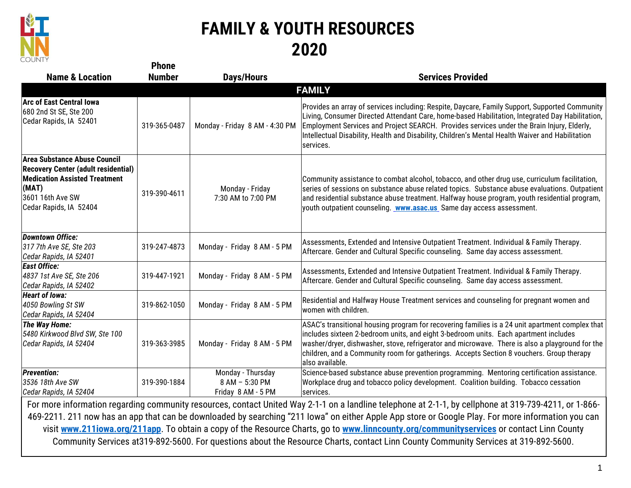

## **FAMILY & YOUTH RESOURCES 2020**

| <b>UUUITI</b>                                                                                                                                                             | <b>Phone</b>  |                                                           |                                                                                                                                                                                                                                                                                                                                                                                                                                                                                                                                                                                                  |
|---------------------------------------------------------------------------------------------------------------------------------------------------------------------------|---------------|-----------------------------------------------------------|--------------------------------------------------------------------------------------------------------------------------------------------------------------------------------------------------------------------------------------------------------------------------------------------------------------------------------------------------------------------------------------------------------------------------------------------------------------------------------------------------------------------------------------------------------------------------------------------------|
| <b>Name &amp; Location</b>                                                                                                                                                | <b>Number</b> | <b>Days/Hours</b>                                         | <b>Services Provided</b>                                                                                                                                                                                                                                                                                                                                                                                                                                                                                                                                                                         |
|                                                                                                                                                                           |               |                                                           | <b>FAMILY</b>                                                                                                                                                                                                                                                                                                                                                                                                                                                                                                                                                                                    |
| <b>Arc of East Central lowa</b><br>680 2nd St SE, Ste 200<br>Cedar Rapids, IA 52401                                                                                       | 319-365-0487  | Monday - Friday 8 AM - 4:30 PM                            | Provides an array of services including: Respite, Daycare, Family Support, Supported Community<br>Living, Consumer Directed Attendant Care, home-based Habilitation, Integrated Day Habilitation,<br>Employment Services and Project SEARCH. Provides services under the Brain Injury, Elderly,<br>Intellectual Disability, Health and Disability, Children's Mental Health Waiver and Habilitation<br>services.                                                                                                                                                                                 |
| Area Substance Abuse Council<br><b>Recovery Center (adult residential)</b><br><b>Medication Assisted Treatment</b><br>(MAT)<br>3601 16th Ave SW<br>Cedar Rapids, IA 52404 | 319-390-4611  | Monday - Friday<br>7:30 AM to 7:00 PM                     | Community assistance to combat alcohol, tobacco, and other drug use, curriculum facilitation,<br>series of sessions on substance abuse related topics. Substance abuse evaluations. Outpatient<br>and residential substance abuse treatment. Halfway house program, youth residential program,<br>youth outpatient counseling. <b>WWW.asac.us</b> Same day access assessment.                                                                                                                                                                                                                    |
| <b>Downtown Office:</b><br>317 7th Ave SE, Ste 203<br>Cedar Rapids, IA 52401                                                                                              | 319-247-4873  | Monday - Friday 8 AM - 5 PM                               | Assessments, Extended and Intensive Outpatient Treatment. Individual & Family Therapy.<br>Aftercare. Gender and Cultural Specific counseling. Same day access assessment.                                                                                                                                                                                                                                                                                                                                                                                                                        |
| <b>East Office:</b><br>4837 1st Ave SE, Ste 206<br>Cedar Rapids, IA 52402                                                                                                 | 319-447-1921  | Monday - Friday 8 AM - 5 PM                               | Assessments, Extended and Intensive Outpatient Treatment. Individual & Family Therapy.<br>Aftercare. Gender and Cultural Specific counseling. Same day access assessment.                                                                                                                                                                                                                                                                                                                                                                                                                        |
| <b>Heart of lowa:</b><br>4050 Bowling St SW<br>Cedar Rapids, IA 52404                                                                                                     | 319-862-1050  | Monday - Friday 8 AM - 5 PM                               | Residential and Halfway House Treatment services and counseling for pregnant women and<br>women with children.                                                                                                                                                                                                                                                                                                                                                                                                                                                                                   |
| <b>The Way Home:</b><br>5480 Kirkwood Blvd SW, Ste 100<br>Cedar Rapids, IA 52404                                                                                          | 319-363-3985  | Monday - Friday 8 AM - 5 PM                               | ASAC's transitional housing program for recovering families is a 24 unit apartment complex that<br>includes sixteen 2-bedroom units, and eight 3-bedroom units. Each apartment includes<br>washer/dryer, dishwasher, stove, refrigerator and microwave. There is also a playground for the<br>children, and a Community room for gatherings. Accepts Section 8 vouchers. Group therapy<br>also available.                                                                                                                                                                                        |
| <b>Prevention:</b><br>3536 18th Ave SW<br>Cedar Rapids, IA 52404                                                                                                          | 319-390-1884  | Monday - Thursday<br>8 AM - 5:30 PM<br>Friday 8 AM - 5 PM | Science-based substance abuse prevention programming. Mentoring certification assistance.<br>Workplace drug and tobacco policy development. Coalition building. Tobacco cessation<br>services.                                                                                                                                                                                                                                                                                                                                                                                                   |
|                                                                                                                                                                           |               |                                                           | For more information regarding community resources, contact United Way 2-1-1 on a landline telephone at 2-1-1, by cellphone at 319-739-4211, or 1-866-<br>469-2211. 211 now has an app that can be downloaded by searching "211 Iowa" on either Apple App store or Google Play. For more information you can<br>visit www.211iowa.org/211app. To obtain a copy of the Resource Charts, go to www.linncounty.org/communityservices or contact Linn County<br>Community Services at 319-892-5600. For questions about the Resource Charts, contact Linn County Community Services at 319-892-5600. |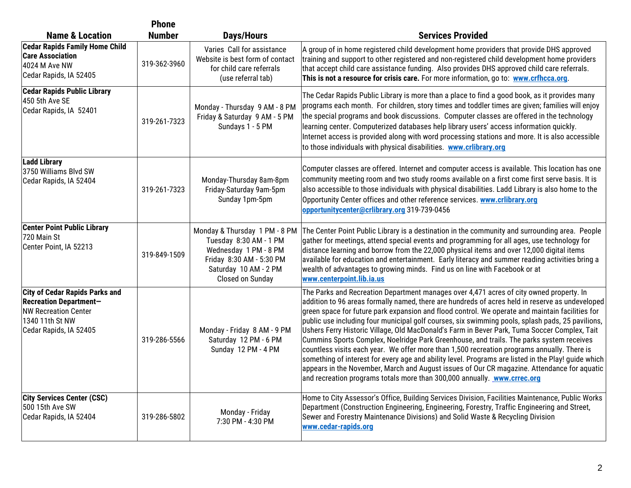|                                                                                                                                                    | <b>Phone</b>  |                                                                                                                                                           |                                                                                                                                                                                                                                                                                                                                                                                                                                                                                                                                                                                                                                                                                                                                                                                                                                                                                                                                                                                |
|----------------------------------------------------------------------------------------------------------------------------------------------------|---------------|-----------------------------------------------------------------------------------------------------------------------------------------------------------|--------------------------------------------------------------------------------------------------------------------------------------------------------------------------------------------------------------------------------------------------------------------------------------------------------------------------------------------------------------------------------------------------------------------------------------------------------------------------------------------------------------------------------------------------------------------------------------------------------------------------------------------------------------------------------------------------------------------------------------------------------------------------------------------------------------------------------------------------------------------------------------------------------------------------------------------------------------------------------|
| <b>Name &amp; Location</b>                                                                                                                         | <b>Number</b> | Days/Hours                                                                                                                                                | <b>Services Provided</b>                                                                                                                                                                                                                                                                                                                                                                                                                                                                                                                                                                                                                                                                                                                                                                                                                                                                                                                                                       |
| <b>Cedar Rapids Family Home Child</b><br><b>Care Association</b><br>4024 M Ave NW<br>Cedar Rapids, IA 52405                                        | 319-362-3960  | Varies Call for assistance<br>Website is best form of contact<br>for child care referrals<br>(use referral tab)                                           | A group of in home registered child development home providers that provide DHS approved<br>training and support to other registered and non-registered child development home providers<br>that accept child care assistance funding. Also provides DHS approved child care referrals.<br>This is not a resource for crisis care. For more information, go to: www.crfhcca.org.                                                                                                                                                                                                                                                                                                                                                                                                                                                                                                                                                                                               |
| <b>Cedar Rapids Public Library</b><br>450 5th Ave SE<br>Cedar Rapids, IA 52401                                                                     | 319-261-7323  | Monday - Thursday 9 AM - 8 PM<br>Friday & Saturday 9 AM - 5 PM<br>Sundays 1 - 5 PM                                                                        | The Cedar Rapids Public Library is more than a place to find a good book, as it provides many<br>programs each month. For children, story times and toddler times are given; families will enjoy<br>the special programs and book discussions. Computer classes are offered in the technology<br>learning center. Computerized databases help library users' access information quickly.<br>Internet access is provided along with word processing stations and more. It is also accessible<br>to those individuals with physical disabilities. www.crlibrary.org                                                                                                                                                                                                                                                                                                                                                                                                              |
| <b>Ladd Library</b><br>3750 Williams Blvd SW<br>Cedar Rapids, IA 52404                                                                             | 319-261-7323  | Monday-Thursday 8am-8pm<br>Friday-Saturday 9am-5pm<br>Sunday 1pm-5pm                                                                                      | Computer classes are offered. Internet and computer access is available. This location has one<br>community meeting room and two study rooms available on a first come first serve basis. It is<br>also accessible to those individuals with physical disabilities. Ladd Library is also home to the<br>Opportunity Center offices and other reference services. <b>WWW.crlibrary.org</b><br>opportunitycenter@crlibrary.org 319-739-0456                                                                                                                                                                                                                                                                                                                                                                                                                                                                                                                                      |
| <b>Center Point Public Library</b><br>720 Main St<br>Center Point, IA 52213                                                                        | 319-849-1509  | Monday & Thursday 1 PM - 8 PM<br>Tuesday 8:30 AM - 1 PM<br>Wednesday 1 PM - 8 PM<br>Friday 8:30 AM - 5:30 PM<br>Saturday 10 AM - 2 PM<br>Closed on Sunday | The Center Point Public Library is a destination in the community and surrounding area. People<br>gather for meetings, attend special events and programming for all ages, use technology for<br>distance learning and borrow from the 22,000 physical items and over 12,000 digital items<br>available for education and entertainment. Early literacy and summer reading activities bring a<br>wealth of advantages to growing minds. Find us on line with Facebook or at<br>www.centerpoint.lib.ia.us                                                                                                                                                                                                                                                                                                                                                                                                                                                                       |
| <b>City of Cedar Rapids Parks and</b><br><b>Recreation Department-</b><br><b>NW Recreation Center</b><br>1340 11th St NW<br>Cedar Rapids, IA 52405 | 319-286-5566  | Monday - Friday 8 AM - 9 PM<br>Saturday 12 PM - 6 PM<br>Sunday 12 PM - 4 PM                                                                               | The Parks and Recreation Department manages over 4,471 acres of city owned property. In<br>addition to 96 areas formally named, there are hundreds of acres held in reserve as undeveloped<br>green space for future park expansion and flood control. We operate and maintain facilities for<br>public use including four municipal golf courses, six swimming pools, splash pads, 25 pavilions,<br>Ushers Ferry Historic Village, Old MacDonald's Farm in Bever Park, Tuma Soccer Complex, Tait<br>Cummins Sports Complex, Noelridge Park Greenhouse, and trails. The parks system receives<br>countless visits each year. We offer more than 1,500 recreation programs annually. There is<br>something of interest for every age and ability level. Programs are listed in the Play! guide which<br>appears in the November, March and August issues of Our CR magazine. Attendance for aquatic<br>and recreation programs totals more than 300,000 annually. www.crrec.org |
| <b>City Services Center (CSC)</b><br>500 15th Ave SW<br>Cedar Rapids, IA 52404                                                                     | 319-286-5802  | Monday - Friday<br>7:30 PM - 4:30 PM                                                                                                                      | Home to City Assessor's Office, Building Services Division, Facilities Maintenance, Public Works<br>Department (Construction Engineering, Engineering, Forestry, Traffic Engineering and Street,<br>Sewer and Forestry Maintenance Divisions) and Solid Waste & Recycling Division<br>www.cedar-rapids.org                                                                                                                                                                                                                                                                                                                                                                                                                                                                                                                                                                                                                                                                     |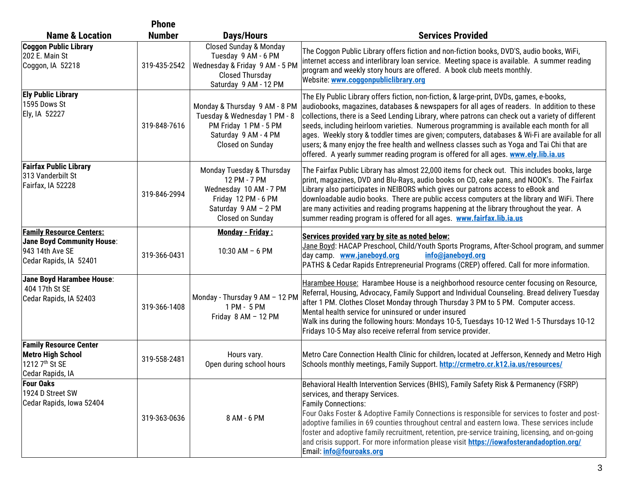|                                                                                                                   | <b>Phone</b>  |                                                                                                                                        |                                                                                                                                                                                                                                                                                                                                                                                                                                                                                                                                                                                                                                                                                   |
|-------------------------------------------------------------------------------------------------------------------|---------------|----------------------------------------------------------------------------------------------------------------------------------------|-----------------------------------------------------------------------------------------------------------------------------------------------------------------------------------------------------------------------------------------------------------------------------------------------------------------------------------------------------------------------------------------------------------------------------------------------------------------------------------------------------------------------------------------------------------------------------------------------------------------------------------------------------------------------------------|
| <b>Name &amp; Location</b>                                                                                        | <b>Number</b> | <b>Days/Hours</b>                                                                                                                      | <b>Services Provided</b>                                                                                                                                                                                                                                                                                                                                                                                                                                                                                                                                                                                                                                                          |
| <b>Coggon Public Library</b><br>202 E. Main St<br>Coggon, IA 52218                                                | 319-435-2542  | <b>Closed Sunday &amp; Monday</b><br>Tuesday 9 AM - 6 PM<br>Wednesday & Friday 9 AM - 5 PM<br>Closed Thursday<br>Saturday 9 AM - 12 PM | The Coggon Public Library offers fiction and non-fiction books, DVD'S, audio books, WiFi,<br>internet access and interlibrary loan service. Meeting space is available. A summer reading<br>program and weekly story hours are offered. A book club meets monthly.<br>Website: www.coggonpubliclibrary.org                                                                                                                                                                                                                                                                                                                                                                        |
| <b>Ely Public Library</b><br>1595 Dows St<br>Ely, IA 52227                                                        | 319-848-7616  | Monday & Thursday 9 AM - 8 PM<br>Tuesday & Wednesday 1 PM - 8<br>PM Friday 1 PM - 5 PM<br>Saturday 9 AM - 4 PM<br>Closed on Sunday     | The Ely Public Library offers fiction, non-fiction, & large-print, DVDs, games, e-books,<br>audiobooks, magazines, databases & newspapers for all ages of readers. In addition to these<br>collections, there is a Seed Lending Library, where patrons can check out a variety of different<br>seeds, including heirloom varieties. Numerous programming is available each month for all<br>ages. Weekly story & toddler times are given; computers, databases & Wi-Fi are available for all<br>users; & many enjoy the free health and wellness classes such as Yoga and Tai Chi that are<br>offered. A yearly summer reading program is offered for all ages. www.ely.lib.ia.us |
| <b>Fairfax Public Library</b><br>313 Vanderbilt St<br>Fairfax, IA 52228                                           | 319-846-2994  | Monday Tuesday & Thursday<br>12 PM - 7 PM<br>Wednesday 10 AM - 7 PM<br>Friday 12 PM - 6 PM<br>Saturday 9 AM - 2 PM<br>Closed on Sunday | The Fairfax Public Library has almost 22,000 items for check out. This includes books, large<br>print, magazines, DVD and Blu-Rays, audio books on CD, cake pans, and NOOK's. The Fairfax<br>Library also participates in NEIBORS which gives our patrons access to eBook and<br>downloadable audio books. There are public access computers at the library and WiFi. There<br>are many activities and reading programs happening at the library throughout the year. A<br>summer reading program is offered for all ages. www.fairfax.lib.ia.us                                                                                                                                  |
| <b>Family Resource Centers:</b><br><b>Jane Boyd Community House:</b><br>943 14th Ave SE<br>Cedar Rapids, IA 52401 | 319-366-0431  | <b>Monday - Friday:</b><br>10:30 AM $-6$ PM                                                                                            | Services provided vary by site as noted below:<br>Jane Boyd: HACAP Preschool, Child/Youth Sports Programs, After-School program, and summer<br>day camp. www.janeboyd.org<br>info@janeboyd.org<br>PATHS & Cedar Rapids Entrepreneurial Programs (CREP) offered. Call for more information.                                                                                                                                                                                                                                                                                                                                                                                        |
| Jane Boyd Harambee House:<br>404 17th St SE<br>Cedar Rapids, IA 52403                                             | 319-366-1408  | Monday - Thursday 9 AM - 12 PM<br>1 PM - 5 PM<br>Friday 8 AM - 12 PM                                                                   | Harambee House: Harambee House is a neighborhood resource center focusing on Resource,<br>Referral, Housing, Advocacy, Family Support and Individual Counseling. Bread delivery Tuesday<br>after 1 PM. Clothes Closet Monday through Thursday 3 PM to 5 PM. Computer access.<br>Mental health service for uninsured or under insured<br>Walk ins during the following hours: Mondays 10-5, Tuesdays 10-12 Wed 1-5 Thursdays 10-12<br>Fridays 10-5 May also receive referral from service provider.                                                                                                                                                                                |
| <b>Family Resource Center</b><br><b>Metro High School</b><br>1212 7 <sup>th</sup> St SE<br>Cedar Rapids, IA       | 319-558-2481  | Hours vary.<br>Open during school hours                                                                                                | Metro Care Connection Health Clinic for children, located at Jefferson, Kennedy and Metro High<br>Schools monthly meetings, Family Support. http://crmetro.cr.k12.ia.us/resources/                                                                                                                                                                                                                                                                                                                                                                                                                                                                                                |
| <b>Four Oaks</b><br>1924 D Street SW<br>Cedar Rapids, Iowa 52404                                                  | 319-363-0636  | 8 AM - 6 PM                                                                                                                            | Behavioral Health Intervention Services (BHIS), Family Safety Risk & Permanency (FSRP)<br>services, and therapy Services.<br><b>Family Connections:</b><br>Four Oaks Foster & Adoptive Family Connections is responsible for services to foster and post-<br>adoptive families in 69 counties throughout central and eastern lowa. These services include<br>foster and adoptive family recruitment, retention, pre-service training, licensing, and on-going<br>and crisis support. For more information please visit https://iowafosterandadoption.org/<br>Email: info@fouroaks.org                                                                                             |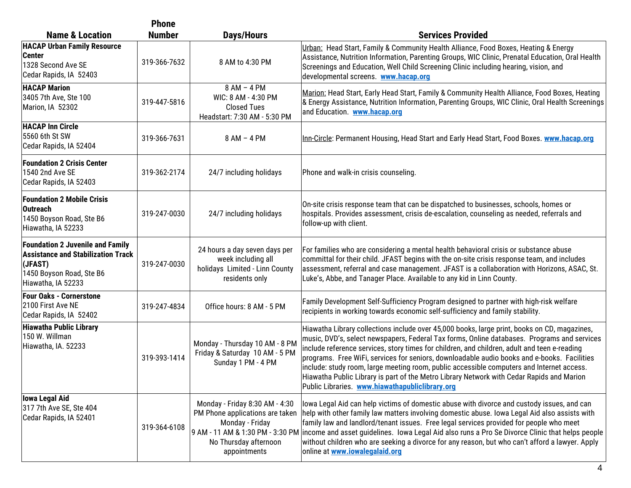|                                                                                                                                                   | <b>Phone</b>  |                                                                                                                                                                   |                                                                                                                                                                                                                                                                                                                                                                                                                                                                                                                                                                                                                                         |
|---------------------------------------------------------------------------------------------------------------------------------------------------|---------------|-------------------------------------------------------------------------------------------------------------------------------------------------------------------|-----------------------------------------------------------------------------------------------------------------------------------------------------------------------------------------------------------------------------------------------------------------------------------------------------------------------------------------------------------------------------------------------------------------------------------------------------------------------------------------------------------------------------------------------------------------------------------------------------------------------------------------|
| <b>Name &amp; Location</b>                                                                                                                        | <b>Number</b> | <b>Days/Hours</b>                                                                                                                                                 | <b>Services Provided</b>                                                                                                                                                                                                                                                                                                                                                                                                                                                                                                                                                                                                                |
| <b>HACAP Urban Family Resource</b><br><b>Center</b><br>1328 Second Ave SE<br>Cedar Rapids, IA 52403                                               | 319-366-7632  | 8 AM to 4:30 PM                                                                                                                                                   | Urban: Head Start, Family & Community Health Alliance, Food Boxes, Heating & Energy<br>Assistance, Nutrition Information, Parenting Groups, WIC Clinic, Prenatal Education, Oral Health<br>Screenings and Education, Well Child Screening Clinic including hearing, vision, and<br>developmental screens. www.hacap.org                                                                                                                                                                                                                                                                                                                 |
| <b>HACAP Marion</b><br>3405 7th Ave, Ste 100<br>Marion, IA 52302                                                                                  | 319-447-5816  | 8 AM - 4 PM<br>WIC: 8 AM - 4:30 PM<br><b>Closed Tues</b><br>Headstart: 7:30 AM - 5:30 PM                                                                          | Marion: Head Start, Early Head Start, Family & Community Health Alliance, Food Boxes, Heating<br>& Energy Assistance, Nutrition Information, Parenting Groups, WIC Clinic, Oral Health Screenings<br>and Education. www.hacap.org                                                                                                                                                                                                                                                                                                                                                                                                       |
| <b>HACAP Inn Circle</b><br>5560 6th St SW<br>Cedar Rapids, IA 52404                                                                               | 319-366-7631  | $8 AM - 4 PM$                                                                                                                                                     | Inn-Circle: Permanent Housing, Head Start and Early Head Start, Food Boxes. www.hacap.org                                                                                                                                                                                                                                                                                                                                                                                                                                                                                                                                               |
| <b>Foundation 2 Crisis Center</b><br>1540 2nd Ave SE<br>Cedar Rapids, IA 52403                                                                    | 319-362-2174  | 24/7 including holidays                                                                                                                                           | Phone and walk-in crisis counseling.                                                                                                                                                                                                                                                                                                                                                                                                                                                                                                                                                                                                    |
| <b>Foundation 2 Mobile Crisis</b><br><b>Outreach</b><br>1450 Boyson Road, Ste B6<br>Hiawatha, IA 52233                                            | 319-247-0030  | 24/7 including holidays                                                                                                                                           | On-site crisis response team that can be dispatched to businesses, schools, homes or<br>hospitals. Provides assessment, crisis de-escalation, counseling as needed, referrals and<br>follow-up with client.                                                                                                                                                                                                                                                                                                                                                                                                                             |
| <b>Foundation 2 Juvenile and Family</b><br><b>Assistance and Stabilization Track</b><br>(JFAST)<br>1450 Boyson Road, Ste B6<br>Hiawatha, IA 52233 | 319-247-0030  | 24 hours a day seven days per<br>week including all<br>holidays Limited - Linn County<br>residents only                                                           | For families who are considering a mental health behavioral crisis or substance abuse<br>committal for their child. JFAST begins with the on-site crisis response team, and includes<br>assessment, referral and case management. JFAST is a collaboration with Horizons, ASAC, St.<br>Luke's, Abbe, and Tanager Place. Available to any kid in Linn County.                                                                                                                                                                                                                                                                            |
| <b>Four Oaks - Cornerstone</b><br>2100 First Ave NE<br>Cedar Rapids, IA 52402                                                                     | 319-247-4834  | Office hours: 8 AM - 5 PM                                                                                                                                         | Family Development Self-Sufficiency Program designed to partner with high-risk welfare<br>recipients in working towards economic self-sufficiency and family stability.                                                                                                                                                                                                                                                                                                                                                                                                                                                                 |
| <b>Hiawatha Public Library</b><br>150 W. Willman<br>Hiawatha, IA. 52233                                                                           | 319-393-1414  | Monday - Thursday 10 AM - 8 PM<br>Friday & Saturday 10 AM - 5 PM<br>Sunday 1 PM - 4 PM                                                                            | Hiawatha Library collections include over 45,000 books, large print, books on CD, magazines,<br>music, DVD's, select newspapers, Federal Tax forms, Online databases. Programs and services<br>include reference services, story times for children, and children, adult and teen e-reading<br>programs. Free WiFi, services for seniors, downloadable audio books and e-books. Facilities<br>include: study room, large meeting room, public accessible computers and Internet access.<br>Hiawatha Public Library is part of the Metro Library Network with Cedar Rapids and Marion<br>Public Libraries. www.hiawathapubliclibrary.org |
| lowa Legal Aid<br>317 7th Ave SE, Ste 404<br>Cedar Rapids, IA 52401                                                                               | 319-364-6108  | Monday - Friday 8:30 AM - 4:30<br>PM Phone applications are taken<br>Monday - Friday<br>9 AM - 11 AM & 1:30 PM - 3:30 PM<br>No Thursday afternoon<br>appointments | lowa Legal Aid can help victims of domestic abuse with divorce and custody issues, and can<br>help with other family law matters involving domestic abuse. Iowa Legal Aid also assists with<br>family law and landlord/tenant issues. Free legal services provided for people who meet<br>income and asset guidelines. Iowa Legal Aid also runs a Pro Se Divorce Clinic that helps people<br>without children who are seeking a divorce for any reason, but who can't afford a lawyer. Apply<br>online at www.iowalegalaid.org                                                                                                          |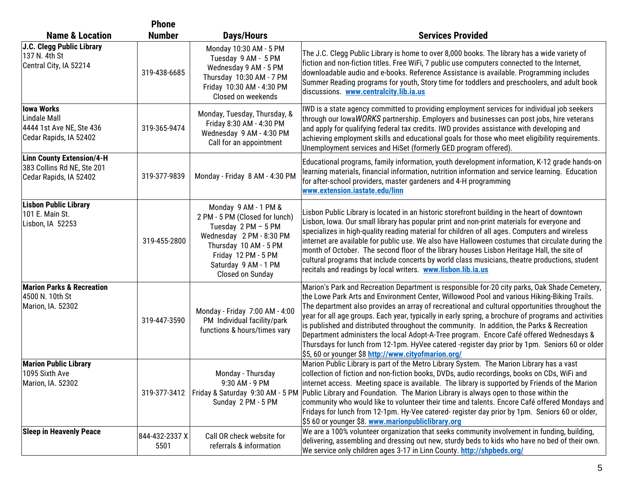|                                                                                          | <b>Phone</b>           |                                                                                                                                                                                                       |                                                                                                                                                                                                                                                                                                                                                                                                                                                                                                                                                                                                                                                                                                                                                          |
|------------------------------------------------------------------------------------------|------------------------|-------------------------------------------------------------------------------------------------------------------------------------------------------------------------------------------------------|----------------------------------------------------------------------------------------------------------------------------------------------------------------------------------------------------------------------------------------------------------------------------------------------------------------------------------------------------------------------------------------------------------------------------------------------------------------------------------------------------------------------------------------------------------------------------------------------------------------------------------------------------------------------------------------------------------------------------------------------------------|
| <b>Name &amp; Location</b>                                                               | <b>Number</b>          | Days/Hours                                                                                                                                                                                            | <b>Services Provided</b>                                                                                                                                                                                                                                                                                                                                                                                                                                                                                                                                                                                                                                                                                                                                 |
| J.C. Clegg Public Library<br>137 N. 4th St<br>Central City, IA 52214                     | 319-438-6685           | Monday 10:30 AM - 5 PM<br>Tuesday 9 AM - 5 PM<br>Wednesday 9 AM - 5 PM<br>Thursday 10:30 AM - 7 PM<br>Friday 10:30 AM - 4:30 PM<br>Closed on weekends                                                 | The J.C. Clegg Public Library is home to over 8,000 books. The library has a wide variety of<br>fiction and non-fiction titles. Free WiFi, 7 public use computers connected to the Internet,<br>downloadable audio and e-books. Reference Assistance is available. Programming includes<br>Summer Reading programs for youth, Story time for toddlers and preschoolers, and adult book<br>discussions. www.centralcity.lib.ia.us                                                                                                                                                                                                                                                                                                                         |
| lowa Works<br>Lindale Mall<br>4444 1st Ave NE, Ste 436<br>Cedar Rapids, IA 52402         | 319-365-9474           | Monday, Tuesday, Thursday, &<br>Friday 8:30 AM - 4:30 PM<br>Wednesday 9 AM - 4:30 PM<br>Call for an appointment                                                                                       | IWD is a state agency committed to providing employment services for individual job seekers<br>through our lowaWORKS partnership. Employers and businesses can post jobs, hire veterans<br>and apply for qualifying federal tax credits. IWD provides assistance with developing and<br>achieving employment skills and educational goals for those who meet eligibility requirements.<br>Unemployment services and HiSet (formerly GED program offered).                                                                                                                                                                                                                                                                                                |
| <b>Linn County Extension/4-H</b><br>383 Collins Rd NE, Ste 201<br>Cedar Rapids, IA 52402 | 319-377-9839           | Monday - Friday 8 AM - 4:30 PM                                                                                                                                                                        | Educational programs, family information, youth development information, K-12 grade hands-on<br>learning materials, financial information, nutrition information and service learning. Education<br>for after-school providers, master gardeners and 4-H programming<br>www.extension.iastate.edu/linn                                                                                                                                                                                                                                                                                                                                                                                                                                                   |
| <b>Lisbon Public Library</b><br>101 E. Main St.<br>Lisbon, IA 52253                      | 319-455-2800           | Monday 9 AM - 1 PM &<br>2 PM - 5 PM (Closed for lunch)<br>Tuesday 2 PM - 5 PM<br>Wednesday 2 PM - 8:30 PM<br>Thursday 10 AM - 5 PM<br>Friday 12 PM - 5 PM<br>Saturday 9 AM - 1 PM<br>Closed on Sunday | Lisbon Public Library is located in an historic storefront building in the heart of downtown<br>Lisbon, Iowa. Our small library has popular print and non-print materials for everyone and<br>specializes in high-quality reading material for children of all ages. Computers and wireless<br>internet are available for public use. We also have Halloween costumes that circulate during the<br>month of October. The second floor of the library houses Lisbon Heritage Hall, the site of<br>cultural programs that include concerts by world class musicians, theatre productions, student<br>recitals and readings by local writers. www.lisbon.lib.ia.us                                                                                          |
| <b>Marion Parks &amp; Recreation</b><br>4500 N. 10th St<br>Marion, IA. 52302             | 319-447-3590           | Monday - Friday 7:00 AM - 4:00<br>PM Individual facility/park<br>functions & hours/times vary                                                                                                         | Marion's Park and Recreation Department is responsible for-20 city parks, Oak Shade Cemetery,<br>the Lowe Park Arts and Environment Center, Willowood Pool and various Hiking-Biking Trails.<br>The department also provides an array of recreational and cultural opportunities throughout the<br>year for all age groups. Each year, typically in early spring, a brochure of programs and activities<br>is published and distributed throughout the community. In addition, the Parks & Recreation<br>Department administers the local Adopt-A-Tree program. Encore Café offered Wednesdays &<br>Thursdays for lunch from 12-1pm. HyVee catered -register day prior by 1pm. Seniors 60 or older<br>\$5,60 or younger \$8 http://www.cityofmarion.org/ |
| <b>Marion Public Library</b><br>1095 Sixth Ave<br>Marion, IA. 52302                      | 319-377-3412           | Monday - Thursday<br>9:30 AM - 9 PM<br>Sunday 2 PM - 5 PM                                                                                                                                             | Marion Public Library is part of the Metro Library System. The Marion Library has a vast<br>collection of fiction and non-fiction books, DVDs, audio recordings, books on CDs, WiFi and<br>internet access. Meeting space is available. The library is supported by Friends of the Marion<br>Friday & Saturday 9:30 AM - 5 PM Public Library and Foundation. The Marion Library is always open to those within the<br>community who would like to volunteer their time and talents. Encore Café offered Mondays and<br>Fridays for lunch from 12-1pm. Hy-Vee catered- register day prior by 1pm. Seniors 60 or older,<br>\$5 60 or younger \$8. www.marionpubliclibrary.org                                                                              |
| <b>Sleep in Heavenly Peace</b>                                                           | 844-432-2337 X<br>5501 | Call OR check website for<br>referrals & information                                                                                                                                                  | We are a 100% volunteer organization that seeks community involvement in funding, building,<br>delivering, assembling and dressing out new, sturdy beds to kids who have no bed of their own.<br>We service only children ages 3-17 in Linn County. http://shpbeds.org/                                                                                                                                                                                                                                                                                                                                                                                                                                                                                  |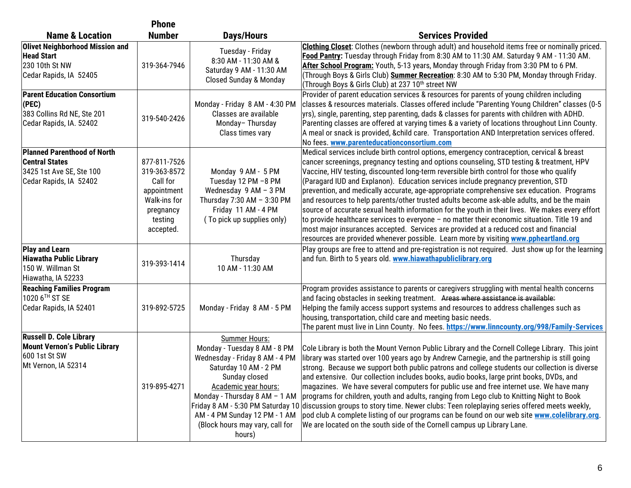|                                                                                                                   | <b>Phone</b>                                                                                                 |                                                                                                                                                                                                                                                                  |                                                                                                                                                                                                                                                                                                                                                                                                                                                                                                                                                                                                                                                                                                                                                                                                                                                                                                                                                            |
|-------------------------------------------------------------------------------------------------------------------|--------------------------------------------------------------------------------------------------------------|------------------------------------------------------------------------------------------------------------------------------------------------------------------------------------------------------------------------------------------------------------------|------------------------------------------------------------------------------------------------------------------------------------------------------------------------------------------------------------------------------------------------------------------------------------------------------------------------------------------------------------------------------------------------------------------------------------------------------------------------------------------------------------------------------------------------------------------------------------------------------------------------------------------------------------------------------------------------------------------------------------------------------------------------------------------------------------------------------------------------------------------------------------------------------------------------------------------------------------|
| <b>Name &amp; Location</b>                                                                                        | <b>Number</b>                                                                                                | Days/Hours                                                                                                                                                                                                                                                       | <b>Services Provided</b>                                                                                                                                                                                                                                                                                                                                                                                                                                                                                                                                                                                                                                                                                                                                                                                                                                                                                                                                   |
| <b>Olivet Neighborhood Mission and</b><br><b>Head Start</b><br>230 10th St NW<br>Cedar Rapids, IA 52405           | 319-364-7946                                                                                                 | Tuesday - Friday<br>8:30 AM - 11:30 AM &<br>Saturday 9 AM - 11:30 AM<br><b>Closed Sunday &amp; Monday</b>                                                                                                                                                        | Clothing Closet: Clothes (newborn through adult) and household items free or nominally priced.<br>Food Pantry: Tuesday through Friday from 8:30 AM to 11:30 AM. Saturday 9 AM - 11:30 AM.<br>After School Program: Youth, 5-13 years, Monday through Friday from 3:30 PM to 6 PM.<br> (Through Boys & Girls Club) Summer Recreation: 8:30 AM to 5:30 PM, Monday through Friday.<br>(Through Boys & Girls Club) at 237 10 <sup>th</sup> street NW                                                                                                                                                                                                                                                                                                                                                                                                                                                                                                           |
| <b>Parent Education Consortium</b><br>(PEC)<br>383 Collins Rd NE, Ste 201<br>Cedar Rapids, IA. 52402              | 319-540-2426                                                                                                 | Monday - Friday 8 AM - 4:30 PM<br>Classes are available<br>Monday-Thursday<br>Class times vary                                                                                                                                                                   | Provider of parent education services & resources for parents of young children including<br>classes & resources materials. Classes offered include "Parenting Young Children" classes (0-5<br>yrs), single, parenting, step parenting, dads & classes for parents with children with ADHD.<br>Parenting classes are offered at varying times & a variety of locations throughout Linn County.<br>A meal or snack is provided, &child care. Transportation AND Interpretation services offered.<br>No fees. www.parenteducationconsortium.com                                                                                                                                                                                                                                                                                                                                                                                                              |
| <b>Planned Parenthood of North</b><br><b>Central States</b><br>3425 1st Ave SE, Ste 100<br>Cedar Rapids, IA 52402 | 877-811-7526<br>319-363-8572<br>Call for<br>appointment<br>Walk-ins for<br>pregnancy<br>testing<br>accepted. | Monday 9 AM - 5 PM<br>Tuesday 12 PM -8 PM<br>Wednesday 9 AM - 3 PM<br>Thursday 7:30 AM - 3:30 PM<br>Friday 11 AM - 4 PM<br>(To pick up supplies only)                                                                                                            | Medical services include birth control options, emergency contraception, cervical & breast<br>cancer screenings, pregnancy testing and options counseling, STD testing & treatment, HPV<br>Vaccine, HIV testing, discounted long-term reversible birth control for those who qualify<br>(Paragard IUD and Explanon). Education services include pregnancy prevention, STD<br>prevention, and medically accurate, age-appropriate comprehensive sex education. Programs<br>and resources to help parents/other trusted adults become ask-able adults, and be the main<br>source of accurate sexual health information for the youth in their lives. We makes every effort<br>to provide healthcare services to everyone - no matter their economic situation. Title 19 and<br>most major insurances accepted. Services are provided at a reduced cost and financial<br>resources are provided whenever possible. Learn more by visiting www.ppheartland.org |
| <b>Play and Learn</b><br><b>Hiawatha Public Library</b><br>150 W. Willman St<br>Hiawatha, IA 52233                | 319-393-1414                                                                                                 | Thursday<br>10 AM - 11:30 AM                                                                                                                                                                                                                                     | Play groups are free to attend and pre-registration is not required. Just show up for the learning<br>and fun. Birth to 5 years old. www.hiawathapubliclibrary.org                                                                                                                                                                                                                                                                                                                                                                                                                                                                                                                                                                                                                                                                                                                                                                                         |
| <b>Reaching Families Program</b><br>1020 6TH ST SE<br>Cedar Rapids, IA 52401                                      | 319-892-5725                                                                                                 | Monday - Friday 8 AM - 5 PM                                                                                                                                                                                                                                      | Program provides assistance to parents or caregivers struggling with mental health concerns<br>and facing obstacles in seeking treatment. Areas where assistance is available:<br>Helping the family access support systems and resources to address challenges such as<br>housing, transportation, child care and meeting basic needs.<br>The parent must live in Linn County. No fees. https://www.linncounty.org/998/Family-Services                                                                                                                                                                                                                                                                                                                                                                                                                                                                                                                    |
| <b>Russell D. Cole Library</b><br><b>Mount Vernon's Public Library</b><br>600 1st St SW<br>Mt Vernon, IA 52314    | 319-895-4271                                                                                                 | Summer Hours:<br>Monday - Tuesday 8 AM - 8 PM<br>Wednesday - Friday 8 AM - 4 PM<br>Saturday 10 AM - 2 PM<br>Sunday closed<br>Academic year hours:<br>Monday - Thursday 8 AM - 1 AM<br>AM - 4 PM Sunday 12 PM - 1 AM<br>(Block hours may vary, call for<br>hours) | Cole Library is both the Mount Vernon Public Library and the Cornell College Library. This joint<br>library was started over 100 years ago by Andrew Carnegie, and the partnership is still going<br>strong. Because we support both public patrons and college students our collection is diverse<br>and extensive. Our collection includes books, audio books, large print books, DVDs, and<br>magazines. We have several computers for public use and free internet use. We have many<br>programs for children, youth and adults, ranging from Lego club to Knitting Night to Book<br>Friday 8 AM - 5:30 PM Saturday 10 discussion groups to story time. Newer clubs: Teen roleplaying series offered meets weekly,<br>pod club A complete listing of our programs can be found on our web site www.colelibrary.org.<br>We are located on the south side of the Cornell campus up Library Lane.                                                         |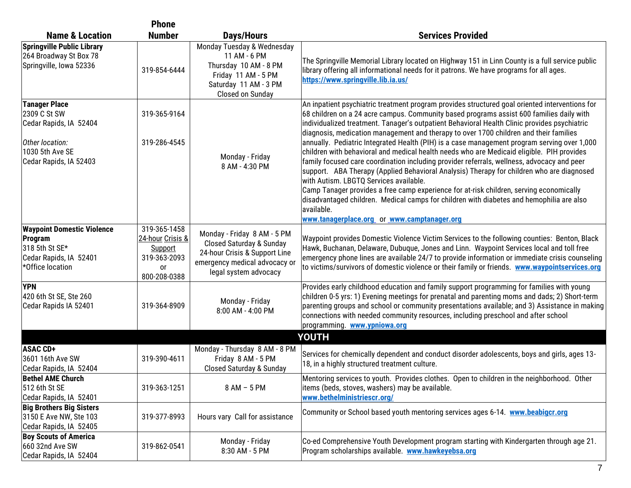|                                                                                                                                | <b>Phone</b>                                                                      |                                                                                                                                                               |                                                                                                                                                                                                                                                                                                                                                                                                                                                                                                                                                                                                                                                                                                                                                                                                                                                                                                                                                                                                                                                                          |
|--------------------------------------------------------------------------------------------------------------------------------|-----------------------------------------------------------------------------------|---------------------------------------------------------------------------------------------------------------------------------------------------------------|--------------------------------------------------------------------------------------------------------------------------------------------------------------------------------------------------------------------------------------------------------------------------------------------------------------------------------------------------------------------------------------------------------------------------------------------------------------------------------------------------------------------------------------------------------------------------------------------------------------------------------------------------------------------------------------------------------------------------------------------------------------------------------------------------------------------------------------------------------------------------------------------------------------------------------------------------------------------------------------------------------------------------------------------------------------------------|
| <b>Name &amp; Location</b>                                                                                                     | <b>Number</b>                                                                     | Days/Hours                                                                                                                                                    | <b>Services Provided</b>                                                                                                                                                                                                                                                                                                                                                                                                                                                                                                                                                                                                                                                                                                                                                                                                                                                                                                                                                                                                                                                 |
| <b>Springville Public Library</b><br>264 Broadway St Box 78<br>Springville, Iowa 52336                                         | 319-854-6444                                                                      | Monday Tuesday & Wednesday<br>11 AM - 6 PM<br>Thursday 10 AM - 8 PM<br>Friday 11 AM - 5 PM<br>Saturday 11 AM - 3 PM<br>Closed on Sunday                       | The Springville Memorial Library located on Highway 151 in Linn County is a full service public<br>library offering all informational needs for it patrons. We have programs for all ages.<br>https://www.springville.lib.ia.us/                                                                                                                                                                                                                                                                                                                                                                                                                                                                                                                                                                                                                                                                                                                                                                                                                                         |
| <b>Tanager Place</b><br>2309 C St SW<br>Cedar Rapids, IA 52404<br>Other location:<br>1030 5th Ave SE<br>Cedar Rapids, IA 52403 | 319-365-9164<br>319-286-4545                                                      | Monday - Friday<br>8 AM - 4:30 PM                                                                                                                             | An inpatient psychiatric treatment program provides structured goal oriented interventions for<br>68 children on a 24 acre campus. Community based programs assist 600 families daily with<br>individualized treatment. Tanager's outpatient Behavioral Health Clinic provides psychiatric<br>diagnosis, medication management and therapy to over 1700 children and their families<br>annually. Pediatric Integrated Health (PIH) is a case management program serving over 1,000<br>children with behavioral and medical health needs who are Medicaid eligible. PIH provides<br>family focused care coordination including provider referrals, wellness, advocacy and peer<br>support. ABA Therapy (Applied Behavioral Analysis) Therapy for children who are diagnosed<br>with Autism. LBGTQ Services available.<br>Camp Tanager provides a free camp experience for at-risk children, serving economically<br>disadvantaged children. Medical camps for children with diabetes and hemophilia are also<br>available.<br>www.tanagerplace.org or www.camptanager.org |
| <b>Waypoint Domestic Violence</b><br>Program<br>318 5th St SE*<br>Cedar Rapids, IA 52401<br>*Office location                   | 319-365-1458<br>24-hour Crisis &<br>Support<br>319-363-2093<br>or<br>800-208-0388 | Monday - Friday 8 AM - 5 PM<br><b>Closed Saturday &amp; Sunday</b><br>24-hour Crisis & Support Line<br>emergency medical advocacy or<br>legal system advocacy | Waypoint provides Domestic Violence Victim Services to the following counties: Benton, Black<br>Hawk, Buchanan, Delaware, Dubuque, Jones and Linn. Waypoint Services local and toll free<br>emergency phone lines are available 24/7 to provide information or immediate crisis counseling<br>to victims/survivors of domestic violence or their family or friends. www.waypointservices.org                                                                                                                                                                                                                                                                                                                                                                                                                                                                                                                                                                                                                                                                             |
| <b>YPN</b><br>420 6th St SE, Ste 260<br>Cedar Rapids IA 52401                                                                  | 319-364-8909                                                                      | Monday - Friday<br>8:00 AM - 4:00 PM                                                                                                                          | Provides early childhood education and family support programming for families with young<br>children 0-5 yrs: 1) Evening meetings for prenatal and parenting moms and dads; 2) Short-term<br>parenting groups and school or community presentations available; and 3) Assistance in making<br>connections with needed community resources, including preschool and after school<br>programming. www.ypniowa.org                                                                                                                                                                                                                                                                                                                                                                                                                                                                                                                                                                                                                                                         |
|                                                                                                                                |                                                                                   |                                                                                                                                                               | <b>YOUTH</b>                                                                                                                                                                                                                                                                                                                                                                                                                                                                                                                                                                                                                                                                                                                                                                                                                                                                                                                                                                                                                                                             |
| <b>ASAC CD+</b><br>3601 16th Ave SW<br>Cedar Rapids, IA 52404                                                                  | 319-390-4611                                                                      | Monday - Thursday 8 AM - 8 PM<br>Friday 8 AM - 5 PM<br><b>Closed Saturday &amp; Sunday</b>                                                                    | Services for chemically dependent and conduct disorder adolescents, boys and girls, ages 13-<br>18, in a highly structured treatment culture.                                                                                                                                                                                                                                                                                                                                                                                                                                                                                                                                                                                                                                                                                                                                                                                                                                                                                                                            |
| <b>Bethel AME Church</b><br>512 6th St SE<br>Cedar Rapids, IA 52401                                                            | 319-363-1251                                                                      | 8 AM - 5 PM                                                                                                                                                   | Mentoring services to youth. Provides clothes. Open to children in the neighborhood. Other<br>items (beds, stoves, washers) may be available.<br>www.bethelministriescr.org/                                                                                                                                                                                                                                                                                                                                                                                                                                                                                                                                                                                                                                                                                                                                                                                                                                                                                             |
| <b>Big Brothers Big Sisters</b><br>3150 E Ave NW, Ste 103<br>Cedar Rapids, IA 52405                                            | 319-377-8993                                                                      | Hours vary Call for assistance                                                                                                                                | Community or School based youth mentoring services ages 6-14. www.beabigcr.org                                                                                                                                                                                                                                                                                                                                                                                                                                                                                                                                                                                                                                                                                                                                                                                                                                                                                                                                                                                           |
| <b>Boy Scouts of America</b><br>660 32nd Ave SW<br>Cedar Rapids, IA 52404                                                      | 319-862-0541                                                                      | Monday - Friday<br>8:30 AM - 5 PM                                                                                                                             | Co-ed Comprehensive Youth Development program starting with Kindergarten through age 21.<br>Program scholarships available. www.hawkevebsa.org                                                                                                                                                                                                                                                                                                                                                                                                                                                                                                                                                                                                                                                                                                                                                                                                                                                                                                                           |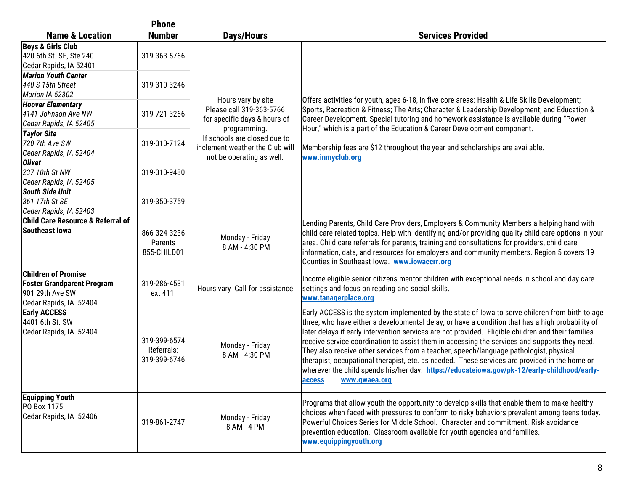|                                                                                                              | <b>Phone</b>                               |                                                                                                              |                                                                                                                                                                                                                                                                                                                                                                                                                                                                                                                                                                                                                                                                                                                                 |
|--------------------------------------------------------------------------------------------------------------|--------------------------------------------|--------------------------------------------------------------------------------------------------------------|---------------------------------------------------------------------------------------------------------------------------------------------------------------------------------------------------------------------------------------------------------------------------------------------------------------------------------------------------------------------------------------------------------------------------------------------------------------------------------------------------------------------------------------------------------------------------------------------------------------------------------------------------------------------------------------------------------------------------------|
| <b>Name &amp; Location</b>                                                                                   | <b>Number</b>                              | <b>Days/Hours</b>                                                                                            | <b>Services Provided</b>                                                                                                                                                                                                                                                                                                                                                                                                                                                                                                                                                                                                                                                                                                        |
| <b>Boys &amp; Girls Club</b><br>420 6th St. SE, Ste 240<br>Cedar Rapids, IA 52401                            | 319-363-5766                               |                                                                                                              |                                                                                                                                                                                                                                                                                                                                                                                                                                                                                                                                                                                                                                                                                                                                 |
| <b>Marion Youth Center</b><br>440 S 15th Street<br>Marion IA 52302                                           | 319-310-3246                               |                                                                                                              |                                                                                                                                                                                                                                                                                                                                                                                                                                                                                                                                                                                                                                                                                                                                 |
| <b>Hoover Elementary</b><br>4141 Johnson Ave NW<br>Cedar Rapids, IA 52405                                    | 319-721-3266                               | Hours vary by site<br>Please call 319-363-5766<br>for specific days & hours of                               | Offers activities for youth, ages 6-18, in five core areas: Health & Life Skills Development;<br>Sports, Recreation & Fitness; The Arts; Character & Leadership Development; and Education &<br>Career Development. Special tutoring and homework assistance is available during "Power                                                                                                                                                                                                                                                                                                                                                                                                                                         |
| <b>Taylor Site</b><br>720 7th Ave SW<br>Cedar Rapids, IA 52404                                               | 319-310-7124                               | programming.<br>If schools are closed due to<br>inclement weather the Club will<br>not be operating as well. | Hour," which is a part of the Education & Career Development component.<br>Membership fees are \$12 throughout the year and scholarships are available.<br>www.inmyclub.org                                                                                                                                                                                                                                                                                                                                                                                                                                                                                                                                                     |
| <b>Olivet</b><br>237 10th St NW<br>Cedar Rapids, IA 52405                                                    | 319-310-9480                               |                                                                                                              |                                                                                                                                                                                                                                                                                                                                                                                                                                                                                                                                                                                                                                                                                                                                 |
| South Side Unit<br>361 17th St SE<br>Cedar Rapids, IA 52403                                                  | 319-350-3759                               |                                                                                                              |                                                                                                                                                                                                                                                                                                                                                                                                                                                                                                                                                                                                                                                                                                                                 |
| <b>Child Care Resource &amp; Referral of</b><br>Southeast Iowa                                               | 866-324-3236<br>Parents<br>855-CHILD01     | Monday - Friday<br>8 AM - 4:30 PM                                                                            | Lending Parents, Child Care Providers, Employers & Community Members a helping hand with<br>child care related topics. Help with identifying and/or providing quality child care options in your<br>area. Child care referrals for parents, training and consultations for providers, child care<br>information, data, and resources for employers and community members. Region 5 covers 19<br>Counties in Southeast Iowa. www.iowaccrr.org                                                                                                                                                                                                                                                                                    |
| <b>Children of Promise</b><br><b>Foster Grandparent Program</b><br>901 29th Ave SW<br>Cedar Rapids, IA 52404 | 319-286-4531<br>ext 411                    | Hours vary Call for assistance                                                                               | Income eligible senior citizens mentor children with exceptional needs in school and day care<br>settings and focus on reading and social skills.<br>www.tanagerplace.org                                                                                                                                                                                                                                                                                                                                                                                                                                                                                                                                                       |
| <b>Early ACCESS</b><br>4401 6th St. SW<br>Cedar Rapids, IA 52404                                             | 319-399-6574<br>Referrals:<br>319-399-6746 | Monday - Friday<br>8 AM - 4:30 PM                                                                            | Early ACCESS is the system implemented by the state of lowa to serve children from birth to age<br>three, who have either a developmental delay, or have a condition that has a high probability of<br>later delays if early intervention services are not provided. Eligible children and their families<br>receive service coordination to assist them in accessing the services and supports they need.<br>They also receive other services from a teacher, speech/language pathologist, physical<br>therapist, occupational therapist, etc. as needed. These services are provided in the home or<br>wherever the child spends his/her day. https://educateiowa.gov/pk-12/early-childhood/early-<br>access<br>www.qwaea.org |
| <b>Equipping Youth</b><br>PO Box 1175<br>Cedar Rapids, IA 52406                                              | 319-861-2747                               | Monday - Friday<br>8 AM - 4 PM                                                                               | Programs that allow youth the opportunity to develop skills that enable them to make healthy<br>choices when faced with pressures to conform to risky behaviors prevalent among teens today.<br>Powerful Choices Series for Middle School. Character and commitment. Risk avoidance<br>prevention education. Classroom available for youth agencies and families.<br>www.equippingyouth.org                                                                                                                                                                                                                                                                                                                                     |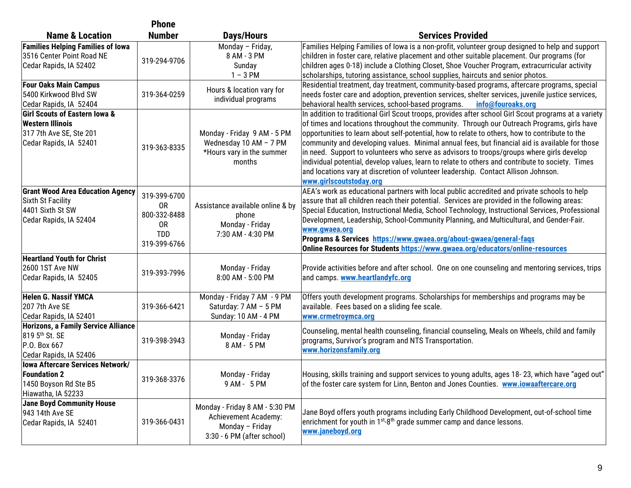|                                                                                                                          | <b>Phone</b>                                                           |                                                                                                         |                                                                                                                                                                                                                                                                                                                                                                                                                                                                                                                                                                                                                                                                                                                          |
|--------------------------------------------------------------------------------------------------------------------------|------------------------------------------------------------------------|---------------------------------------------------------------------------------------------------------|--------------------------------------------------------------------------------------------------------------------------------------------------------------------------------------------------------------------------------------------------------------------------------------------------------------------------------------------------------------------------------------------------------------------------------------------------------------------------------------------------------------------------------------------------------------------------------------------------------------------------------------------------------------------------------------------------------------------------|
| <b>Name &amp; Location</b>                                                                                               | <b>Number</b>                                                          | <b>Days/Hours</b>                                                                                       | <b>Services Provided</b>                                                                                                                                                                                                                                                                                                                                                                                                                                                                                                                                                                                                                                                                                                 |
| <b>Families Helping Families of Iowa</b><br>3516 Center Point Road NE<br>Cedar Rapids, IA 52402                          | 319-294-9706                                                           | Monday - Friday,<br>8 AM - 3 PM<br>Sunday<br>$1 - 3$ PM                                                 | Families Helping Families of lowa is a non-profit, volunteer group designed to help and support<br>children in foster care, relative placement and other suitable placement. Our programs (for<br>children ages 0-18) include a Clothing Closet, Shoe Voucher Program, extracurricular activity<br>scholarships, tutoring assistance, school supplies, haircuts and senior photos.                                                                                                                                                                                                                                                                                                                                       |
| <b>Four Oaks Main Campus</b><br>5400 Kirkwood Blvd SW<br>Cedar Rapids, IA 52404                                          | 319-364-0259                                                           | Hours & location vary for<br>individual programs                                                        | Residential treatment, day treatment, community-based programs, aftercare programs, special<br>needs foster care and adoption, prevention services, shelter services, juvenile justice services,<br>behavioral health services, school-based programs.<br>info@fouroaks.org                                                                                                                                                                                                                                                                                                                                                                                                                                              |
| <b>Girl Scouts of Eastern Iowa &amp;</b><br><b>Western Illinois</b><br>317 7th Ave SE, Ste 201<br>Cedar Rapids, IA 52401 | 319-363-8335                                                           | Monday - Friday 9 AM - 5 PM<br>Wednesday 10 AM - 7 PM<br>*Hours vary in the summer<br>months            | In addition to traditional Girl Scout troops, provides after school Girl Scout programs at a variety<br>of times and locations throughout the community. Through our Outreach Programs, girls have<br>opportunities to learn about self-potential, how to relate to others, how to contribute to the<br>community and developing values. Minimal annual fees, but financial aid is available for those<br>in need. Support to volunteers who serve as advisors to troops/groups where girls develop<br>individual potential, develop values, learn to relate to others and contribute to society. Times<br>and locations vary at discretion of volunteer leadership. Contact Allison Johnson.<br>www.girlscoutstoday.org |
| <b>Grant Wood Area Education Agency</b><br>Sixth St Facility<br>4401 Sixth St SW<br>Cedar Rapids, IA 52404               | 319-399-6700<br>0R<br>800-332-8488<br>0R<br><b>TDD</b><br>319-399-6766 | Assistance available online & by<br>phone<br>Monday - Friday<br>7:30 AM - 4:30 PM                       | AEA's work as educational partners with local public accredited and private schools to help<br>assure that all children reach their potential. Services are provided in the following areas:<br>Special Education, Instructional Media, School Technology, Instructional Services, Professional<br>Development, Leadership, School-Community Planning, and Multicultural, and Gender-Fair.<br>www.gwaea.org<br>Programs & Services https://www.gwaea.org/about-gwaea/general-faqs<br>Online Resources for Students https://www.gwaea.org/educators/online-resources                                                                                                                                                      |
| <b>Heartland Youth for Christ</b><br><b>2600 1ST Ave NW</b><br>Cedar Rapids, IA 52405                                    | 319-393-7996                                                           | Monday - Friday<br>8:00 AM - 5:00 PM                                                                    | Provide activities before and after school. One on one counseling and mentoring services, trips<br>and camps. www.heartlandyfc.org                                                                                                                                                                                                                                                                                                                                                                                                                                                                                                                                                                                       |
| <b>Helen G. Nassif YMCA</b><br>207 7th Ave SE<br>Cedar Rapids, IA 52401                                                  | 319-366-6421                                                           | Monday - Friday 7 AM - 9 PM<br>Saturday: 7 AM - 5 PM<br>Sunday: 10 AM - 4 PM                            | Offers youth development programs. Scholarships for memberships and programs may be<br>available. Fees based on a sliding fee scale.<br>www.crmetroymca.org                                                                                                                                                                                                                                                                                                                                                                                                                                                                                                                                                              |
| <b>Horizons, a Family Service Alliance</b><br>819 5th St. SE<br>P.O. Box 667<br>Cedar Rapids, IA 52406                   | 319-398-3943                                                           | Monday - Friday<br>8 AM - 5 PM                                                                          | Counseling, mental health counseling, financial counseling, Meals on Wheels, child and family<br>programs, Survivor's program and NTS Transportation.<br>www.horizonsfamily.org                                                                                                                                                                                                                                                                                                                                                                                                                                                                                                                                          |
| <b>Iowa Aftercare Services Network/</b><br><b>Foundation 2</b><br>1450 Boyson Rd Ste B5<br>Hiawatha, IA 52233            | 319-368-3376                                                           | Monday - Friday<br>9 AM - 5 PM                                                                          | Housing, skills training and support services to young adults, ages 18-23, which have "aged out"<br>of the foster care system for Linn, Benton and Jones Counties. www.iowaaftercare.org                                                                                                                                                                                                                                                                                                                                                                                                                                                                                                                                 |
| <b>Jane Boyd Community House</b><br>943 14th Ave SE<br>Cedar Rapids, IA 52401                                            | 319-366-0431                                                           | Monday - Friday 8 AM - 5:30 PM<br>Achievement Academy:<br>Monday - Friday<br>3:30 - 6 PM (after school) | Jane Boyd offers youth programs including Early Childhood Development, out-of-school time<br>enrichment for youth in $1^{st}$ -8 <sup>th</sup> grade summer camp and dance lessons.<br>www.janeboyd.org                                                                                                                                                                                                                                                                                                                                                                                                                                                                                                                  |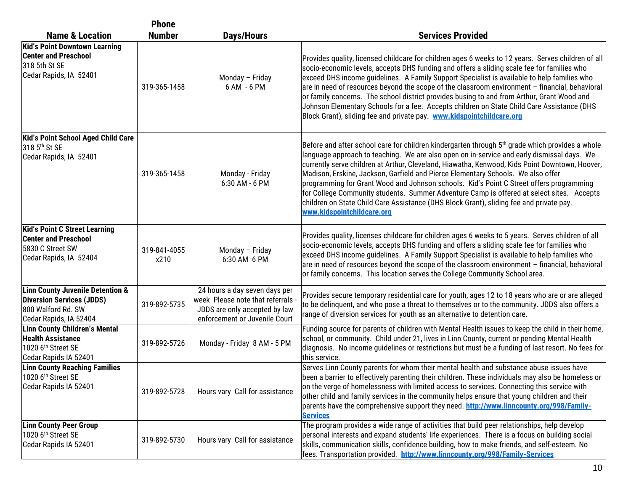| <b>Phone</b>                                                                                                                    |                      |                                                                                                                                    |                                                                                                                                                                                                                                                                                                                                                                                                                                                                                                                                                                                                                                                                                                                  |
|---------------------------------------------------------------------------------------------------------------------------------|----------------------|------------------------------------------------------------------------------------------------------------------------------------|------------------------------------------------------------------------------------------------------------------------------------------------------------------------------------------------------------------------------------------------------------------------------------------------------------------------------------------------------------------------------------------------------------------------------------------------------------------------------------------------------------------------------------------------------------------------------------------------------------------------------------------------------------------------------------------------------------------|
| <b>Name &amp; Location</b>                                                                                                      | <b>Number</b>        | <b>Days/Hours</b>                                                                                                                  | <b>Services Provided</b>                                                                                                                                                                                                                                                                                                                                                                                                                                                                                                                                                                                                                                                                                         |
| <b>Kid's Point Downtown Learning</b><br><b>Center and Preschool</b><br>318 5th St SE<br>Cedar Rapids, IA 52401                  | 319-365-1458         | Monday - Friday<br>6 AM - 6 PM                                                                                                     | Provides quality, licensed childcare for children ages 6 weeks to 12 years. Serves children of all<br>socio-economic levels, accepts DHS funding and offers a sliding scale fee for families who<br>exceed DHS income guidelines. A Family Support Specialist is available to help families who<br>are in need of resources beyond the scope of the classroom environment - financial, behavioral<br>or family concerns. The school district provides busing to and from Arthur, Grant Wood and<br>Johnson Elementary Schools for a fee. Accepts children on State Child Care Assistance (DHS<br>Block Grant), sliding fee and private pay. www.kidspointchildcare.org                                           |
| Kid's Point School Aged Child Care<br>318 5 <sup>th</sup> St SE<br>Cedar Rapids, IA 52401                                       | 319-365-1458         | Monday - Friday<br>6:30 AM - 6 PM                                                                                                  | Before and after school care for children kindergarten through 5 <sup>th</sup> grade which provides a whole<br>language approach to teaching. We are also open on in-service and early dismissal days. We<br>currently serve children at Arthur, Cleveland, Hiawatha, Kenwood, Kids Point Downtown, Hoover,<br>Madison, Erskine, Jackson, Garfield and Pierce Elementary Schools. We also offer<br>programming for Grant Wood and Johnson schools. Kid's Point C Street offers programming<br>for College Community students. Summer Adventure Camp is offered at select sites. Accepts<br>children on State Child Care Assistance (DHS Block Grant), sliding fee and private pay.<br>www.kidspointchildcare.org |
| <b>Kid's Point C Street Learning</b><br><b>Center and Preschool</b><br>5830 C Street SW<br>Cedar Rapids, IA 52404               | 319-841-4055<br>x210 | Monday - Friday<br>6:30 AM 6 PM                                                                                                    | Provides quality, licenses childcare for children ages 6 weeks to 5 years. Serves children of all<br>socio-economic levels, accepts DHS funding and offers a sliding scale fee for families who<br>exceed DHS income guidelines. A Family Support Specialist is available to help families who<br>are in need of resources beyond the scope of the classroom environment - financial, behavioral<br>or family concerns. This location serves the College Community School area.                                                                                                                                                                                                                                  |
| <b>Linn County Juvenile Detention &amp;</b><br><b>Diversion Services (JDDS)</b><br>800 Walford Rd. SW<br>Cedar Rapids, IA 52404 | 319-892-5735         | 24 hours a day seven days per<br>week Please note that referrals<br>JDDS are only accepted by law<br>enforcement or Juvenile Court | Provides secure temporary residential care for youth, ages 12 to 18 years who are or are alleged<br>to be delinquent, and who pose a threat to themselves or to the community. JDDS also offers a<br>range of diversion services for youth as an alternative to detention care.                                                                                                                                                                                                                                                                                                                                                                                                                                  |
| Linn County Children's Mental<br><b>Health Assistance</b><br>1020 6 <sup>th</sup> Street SE<br>Cedar Rapids IA 52401            | 319-892-5726         | Monday - Friday 8 AM - 5 PM                                                                                                        | Funding source for parents of children with Mental Health issues to keep the child in their home,<br>school, or community. Child under 21, lives in Linn County, current or pending Mental Health<br>diagnosis. No income guidelines or restrictions but must be a funding of last resort. No fees for<br>this service.                                                                                                                                                                                                                                                                                                                                                                                          |
| <b>Linn County Reaching Families</b><br>1020 6 <sup>th</sup> Street SE<br>Cedar Rapids IA 52401                                 | 319-892-5728         | Hours vary Call for assistance                                                                                                     | Serves Linn County parents for whom their mental health and substance abuse issues have<br>been a barrier to effectively parenting their children. These individuals may also be homeless or<br>on the verge of homelessness with limited access to services. Connecting this service with<br>other child and family services in the community helps ensure that young children and their<br>parents have the comprehensive support they need. http://www.linncounty.org/998/Family-<br><b>Services</b>                                                                                                                                                                                                          |
| <b>Linn County Peer Group</b><br>1020 6 <sup>th</sup> Street SE<br>Cedar Rapids IA 52401                                        | 319-892-5730         | Hours vary Call for assistance                                                                                                     | The program provides a wide range of activities that build peer relationships, help develop<br>personal interests and expand students' life experiences. There is a focus on building social<br>skills, communication skills, confidence building, how to make friends, and self-esteem. No<br>fees. Transportation provided. http://www.linncounty.org/998/Family-Services                                                                                                                                                                                                                                                                                                                                      |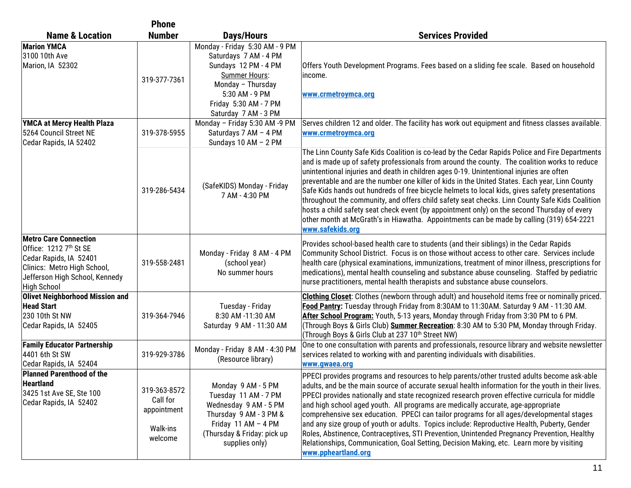|                                                                                                                                                                                     | <b>Phone</b>                                                   |                                                                                                                                                                                          |                                                                                                                                                                                                                                                                                                                                                                                                                                                                                                                                                                                                                                                                                                                                                                                                                 |
|-------------------------------------------------------------------------------------------------------------------------------------------------------------------------------------|----------------------------------------------------------------|------------------------------------------------------------------------------------------------------------------------------------------------------------------------------------------|-----------------------------------------------------------------------------------------------------------------------------------------------------------------------------------------------------------------------------------------------------------------------------------------------------------------------------------------------------------------------------------------------------------------------------------------------------------------------------------------------------------------------------------------------------------------------------------------------------------------------------------------------------------------------------------------------------------------------------------------------------------------------------------------------------------------|
| <b>Name &amp; Location</b>                                                                                                                                                          | <b>Number</b>                                                  | <b>Days/Hours</b>                                                                                                                                                                        | <b>Services Provided</b>                                                                                                                                                                                                                                                                                                                                                                                                                                                                                                                                                                                                                                                                                                                                                                                        |
| <b>Marion YMCA</b><br>3100 10th Ave<br>Marion, IA 52302                                                                                                                             | 319-377-7361                                                   | Monday - Friday 5:30 AM - 9 PM<br>Saturdays 7 AM - 4 PM<br>Sundays 12 PM - 4 PM<br>Summer Hours:<br>Monday - Thursday<br>5:30 AM - 9 PM<br>Friday 5:30 AM - 7 PM<br>Saturday 7 AM - 3 PM | Offers Youth Development Programs. Fees based on a sliding fee scale. Based on household<br>lincome.<br>www.crmetroymca.org                                                                                                                                                                                                                                                                                                                                                                                                                                                                                                                                                                                                                                                                                     |
| YMCA at Mercy Health Plaza<br>5264 Council Street NE<br>Cedar Rapids, IA 52402                                                                                                      | 319-378-5955                                                   | Monday - Friday 5:30 AM -9 PM<br>Saturdays 7 AM - 4 PM<br>Sundays 10 AM - 2 PM                                                                                                           | Serves children 12 and older. The facility has work out equipment and fitness classes available.<br>www.crmetroymca.org                                                                                                                                                                                                                                                                                                                                                                                                                                                                                                                                                                                                                                                                                         |
|                                                                                                                                                                                     | 319-286-5434                                                   | (SafeKIDS) Monday - Friday<br>7 AM - 4:30 PM                                                                                                                                             | The Linn County Safe Kids Coalition is co-lead by the Cedar Rapids Police and Fire Departments<br>and is made up of safety professionals from around the county. The coalition works to reduce<br>unintentional injuries and death in children ages 0-19. Unintentional injuries are often<br>preventable and are the number one killer of kids in the United States. Each year, Linn County<br>Safe Kids hands out hundreds of free bicycle helmets to local kids, gives safety presentations<br>throughout the community, and offers child safety seat checks. Linn County Safe Kids Coalition<br>hosts a child safety seat check event (by appointment only) on the second Thursday of every<br>other month at McGrath's in Hiawatha. Appointments can be made by calling (319) 654-2221<br>www.safekids.org |
| <b>Metro Care Connection</b><br>Office: 1212 7 <sup>th</sup> St SE<br>Cedar Rapids, IA 52401<br>Clinics: Metro High School,<br>Jefferson High School, Kennedy<br><b>High School</b> | 319-558-2481                                                   | Monday - Friday 8 AM - 4 PM<br>(school year)<br>No summer hours                                                                                                                          | Provides school-based health care to students (and their siblings) in the Cedar Rapids<br>Community School District. Focus is on those without access to other care. Services include<br>health care (physical examinations, immunizations, treatment of minor illness, prescriptions for<br>medications), mental health counseling and substance abuse counseling. Staffed by pediatric<br>nurse practitioners, mental health therapists and substance abuse counselors.                                                                                                                                                                                                                                                                                                                                       |
| <b>Olivet Neighborhood Mission and</b><br><b>Head Start</b><br>230 10th St NW<br>Cedar Rapids, IA 52405                                                                             | 319-364-7946                                                   | Tuesday - Friday<br>8:30 AM -11:30 AM<br>Saturday 9 AM - 11:30 AM                                                                                                                        | Clothing Closet: Clothes (newborn through adult) and household items free or nominally priced.<br>Food Pantry: Tuesday through Friday from 8:30AM to 11:30AM. Saturday 9 AM - 11:30 AM.<br>After School Program: Youth, 5-13 years, Monday through Friday from 3:30 PM to 6 PM.<br>(Through Boys & Girls Club) Summer Recreation: 8:30 AM to 5:30 PM, Monday through Friday.<br>(Through Boys & Girls Club at 237 10 <sup>th</sup> Street NW)                                                                                                                                                                                                                                                                                                                                                                   |
| <b>Family Educator Partnership</b><br>4401 6th St SW<br>Cedar Rapids, IA 52404                                                                                                      | 319-929-3786                                                   | Monday - Friday 8 AM - 4:30 PM<br>(Resource library)                                                                                                                                     | One to one consultation with parents and professionals, resource library and website newsletter<br>services related to working with and parenting individuals with disabilities.<br>www.qwaea.org                                                                                                                                                                                                                                                                                                                                                                                                                                                                                                                                                                                                               |
| Planned Parenthood of the<br><b>Heartland</b><br>3425 1st Ave SE, Ste 100<br>Cedar Rapids, IA 52402                                                                                 | 319-363-8572<br>Call for<br>appointment<br>Walk-ins<br>welcome | Monday 9 AM - 5 PM<br>Tuesday 11 AM - 7 PM<br>Wednesday 9 AM - 5 PM<br>Thursday 9 AM - 3 PM &<br>Friday 11 AM - 4 PM<br>(Thursday & Friday: pick up<br>supplies only)                    | PPECI provides programs and resources to help parents/other trusted adults become ask-able<br>adults, and be the main source of accurate sexual health information for the youth in their lives.<br>PPECI provides nationally and state recognized research proven effective curricula for middle<br>and high school aged youth. All programs are medically accurate, age-appropriate<br>comprehensive sex education. PPECI can tailor programs for all ages/developmental stages<br>and any size group of youth or adults. Topics include: Reproductive Health, Puberty, Gender<br>Roles, Abstinence, Contraceptives, STI Prevention, Unintended Pregnancy Prevention, Healthy<br>Relationships, Communication, Goal Setting, Decision Making, etc. Learn more by visiting<br>www.ppheartland.org              |